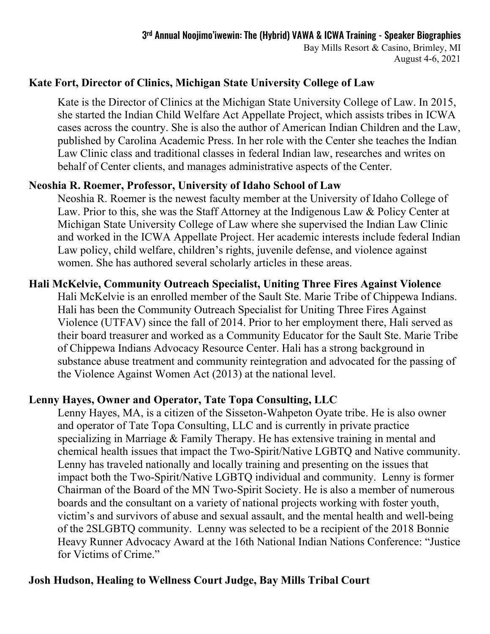# **Kate Fort, Director of Clinics, Michigan State University College of Law**

Kate is the Director of Clinics at the Michigan State University College of Law. In 2015, she started the Indian Child Welfare Act Appellate Project, which assists tribes in ICWA cases across the country. She is also the author of American Indian Children and the Law, published by Carolina Academic Press. In her role with the Center she teaches the Indian Law Clinic class and traditional classes in federal Indian law, researches and writes on behalf of Center clients, and manages administrative aspects of the Center.

## **Neoshia R. Roemer, Professor, University of Idaho School of Law**

Neoshia R. Roemer is the newest faculty member at the University of Idaho College of Law. Prior to this, she was the Staff Attorney at the Indigenous Law & Policy Center at Michigan State University College of Law where she supervised the Indian Law Clinic and worked in the ICWA Appellate Project. Her academic interests include federal Indian Law policy, child welfare, children's rights, juvenile defense, and violence against women. She has authored several scholarly articles in these areas.

# **Hali McKelvie, Community Outreach Specialist, Uniting Three Fires Against Violence**

Hali McKelvie is an enrolled member of the Sault Ste. Marie Tribe of Chippewa Indians. Hali has been the Community Outreach Specialist for Uniting Three Fires Against Violence (UTFAV) since the fall of 2014. Prior to her employment there, Hali served as their board treasurer and worked as a Community Educator for the Sault Ste. Marie Tribe of Chippewa Indians Advocacy Resource Center. Hali has a strong background in substance abuse treatment and community reintegration and advocated for the passing of the Violence Against Women Act (2013) at the national level.

# **Lenny Hayes, Owner and Operator, Tate Topa Consulting, LLC**

Lenny Hayes, MA, is a citizen of the Sisseton-Wahpeton Oyate tribe. He is also owner and operator of Tate Topa Consulting, LLC and is currently in private practice specializing in Marriage & Family Therapy. He has extensive training in mental and chemical health issues that impact the Two-Spirit/Native LGBTQ and Native community. Lenny has traveled nationally and locally training and presenting on the issues that impact both the Two-Spirit/Native LGBTQ individual and community. Lenny is former Chairman of the Board of the MN Two-Spirit Society. He is also a member of numerous boards and the consultant on a variety of national projects working with foster youth, victim's and survivors of abuse and sexual assault, and the mental health and well-being of the 2SLGBTQ community. Lenny was selected to be a recipient of the 2018 Bonnie Heavy Runner Advocacy Award at the 16th National Indian Nations Conference: "Justice for Victims of Crime."

# **Josh Hudson, Healing to Wellness Court Judge, Bay Mills Tribal Court**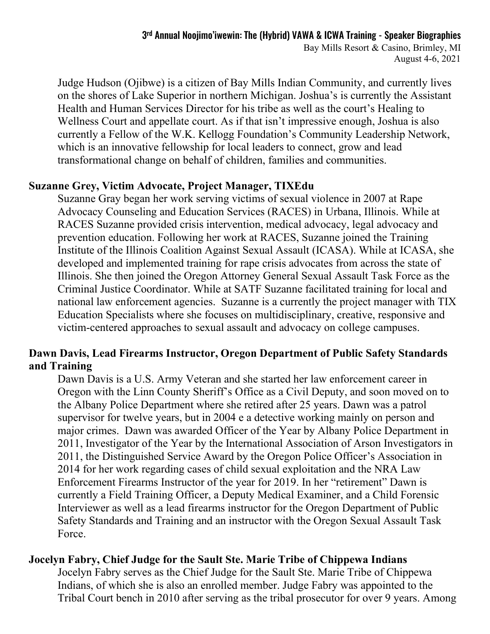# 3rd Annual Noojimo'iwewin: The (Hybrid) VAWA & ICWA Training - Speaker Biographies

Bay Mills Resort & Casino, Brimley, MI August 4-6, 2021

Judge Hudson (Ojibwe) is a citizen of Bay Mills Indian Community, and currently lives on the shores of Lake Superior in northern Michigan. Joshua's is currently the Assistant Health and Human Services Director for his tribe as well as the court's Healing to Wellness Court and appellate court. As if that isn't impressive enough, Joshua is also currently a Fellow of the W.K. Kellogg Foundation's Community Leadership Network, which is an innovative fellowship for local leaders to connect, grow and lead transformational change on behalf of children, families and communities.

#### **Suzanne Grey, Victim Advocate, Project Manager, TIXEdu**

Suzanne Gray began her work serving victims of sexual violence in 2007 at Rape Advocacy Counseling and Education Services (RACES) in Urbana, Illinois. While at RACES Suzanne provided crisis intervention, medical advocacy, legal advocacy and prevention education. Following her work at RACES, Suzanne joined the Training Institute of the Illinois Coalition Against Sexual Assault (ICASA). While at ICASA, she developed and implemented training for rape crisis advocates from across the state of Illinois. She then joined the Oregon Attorney General Sexual Assault Task Force as the Criminal Justice Coordinator. While at SATF Suzanne facilitated training for local and national law enforcement agencies. Suzanne is a currently the project manager with TIX Education Specialists where she focuses on multidisciplinary, creative, responsive and victim-centered approaches to sexual assault and advocacy on college campuses.

## **Dawn Davis, Lead Firearms Instructor, Oregon Department of Public Safety Standards and Training**

Dawn Davis is a U.S. Army Veteran and she started her law enforcement career in Oregon with the Linn County Sheriff's Office as a Civil Deputy, and soon moved on to the Albany Police Department where she retired after 25 years. Dawn was a patrol supervisor for twelve years, but in 2004 e a detective working mainly on person and major crimes. Dawn was awarded Officer of the Year by Albany Police Department in 2011, Investigator of the Year by the International Association of Arson Investigators in 2011, the Distinguished Service Award by the Oregon Police Officer's Association in 2014 for her work regarding cases of child sexual exploitation and the NRA Law Enforcement Firearms Instructor of the year for 2019. In her "retirement" Dawn is currently a Field Training Officer, a Deputy Medical Examiner, and a Child Forensic Interviewer as well as a lead firearms instructor for the Oregon Department of Public Safety Standards and Training and an instructor with the Oregon Sexual Assault Task Force.

#### **Jocelyn Fabry, Chief Judge for the Sault Ste. Marie Tribe of Chippewa Indians**

Jocelyn Fabry serves as the Chief Judge for the Sault Ste. Marie Tribe of Chippewa Indians, of which she is also an enrolled member. Judge Fabry was appointed to the Tribal Court bench in 2010 after serving as the tribal prosecutor for over 9 years. Among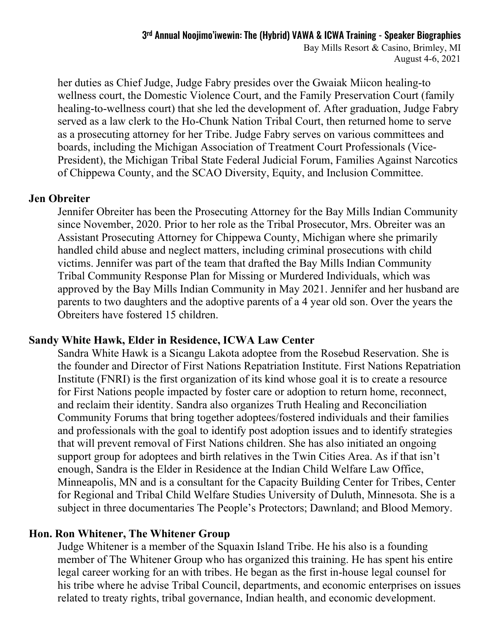Bay Mills Resort & Casino, Brimley, MI August 4-6, 2021

her duties as Chief Judge, Judge Fabry presides over the Gwaiak Miicon healing-to wellness court, the Domestic Violence Court, and the Family Preservation Court (family healing-to-wellness court) that she led the development of. After graduation, Judge Fabry served as a law clerk to the Ho-Chunk Nation Tribal Court, then returned home to serve as a prosecuting attorney for her Tribe. Judge Fabry serves on various committees and boards, including the Michigan Association of Treatment Court Professionals (Vice-President), the Michigan Tribal State Federal Judicial Forum, Families Against Narcotics of Chippewa County, and the SCAO Diversity, Equity, and Inclusion Committee.

#### **Jen Obreiter**

Jennifer Obreiter has been the Prosecuting Attorney for the Bay Mills Indian Community since November, 2020. Prior to her role as the Tribal Prosecutor, Mrs. Obreiter was an Assistant Prosecuting Attorney for Chippewa County, Michigan where she primarily handled child abuse and neglect matters, including criminal prosecutions with child victims. Jennifer was part of the team that drafted the Bay Mills Indian Community Tribal Community Response Plan for Missing or Murdered Individuals, which was approved by the Bay Mills Indian Community in May 2021. Jennifer and her husband are parents to two daughters and the adoptive parents of a 4 year old son. Over the years the Obreiters have fostered 15 children.

### **Sandy White Hawk, Elder in Residence, ICWA Law Center**

Sandra White Hawk is a Sicangu Lakota adoptee from the Rosebud Reservation. She is the founder and Director of First Nations Repatriation Institute. First Nations Repatriation Institute (FNRI) is the first organization of its kind whose goal it is to create a resource for First Nations people impacted by foster care or adoption to return home, reconnect, and reclaim their identity. Sandra also organizes Truth Healing and Reconciliation Community Forums that bring together adoptees/fostered individuals and their families and professionals with the goal to identify post adoption issues and to identify strategies that will prevent removal of First Nations children. She has also initiated an ongoing support group for adoptees and birth relatives in the Twin Cities Area. As if that isn't enough, Sandra is the Elder in Residence at the Indian Child Welfare Law Office, Minneapolis, MN and is a consultant for the Capacity Building Center for Tribes, Center for Regional and Tribal Child Welfare Studies University of Duluth, Minnesota. She is a subject in three documentaries The People's Protectors; Dawnland; and Blood Memory.

#### **Hon. Ron Whitener, The Whitener Group**

Judge Whitener is a member of the Squaxin Island Tribe. He his also is a founding member of The Whitener Group who has organized this training. He has spent his entire legal career working for an with tribes. He began as the first in-house legal counsel for his tribe where he advise Tribal Council, departments, and economic enterprises on issues related to treaty rights, tribal governance, Indian health, and economic development.